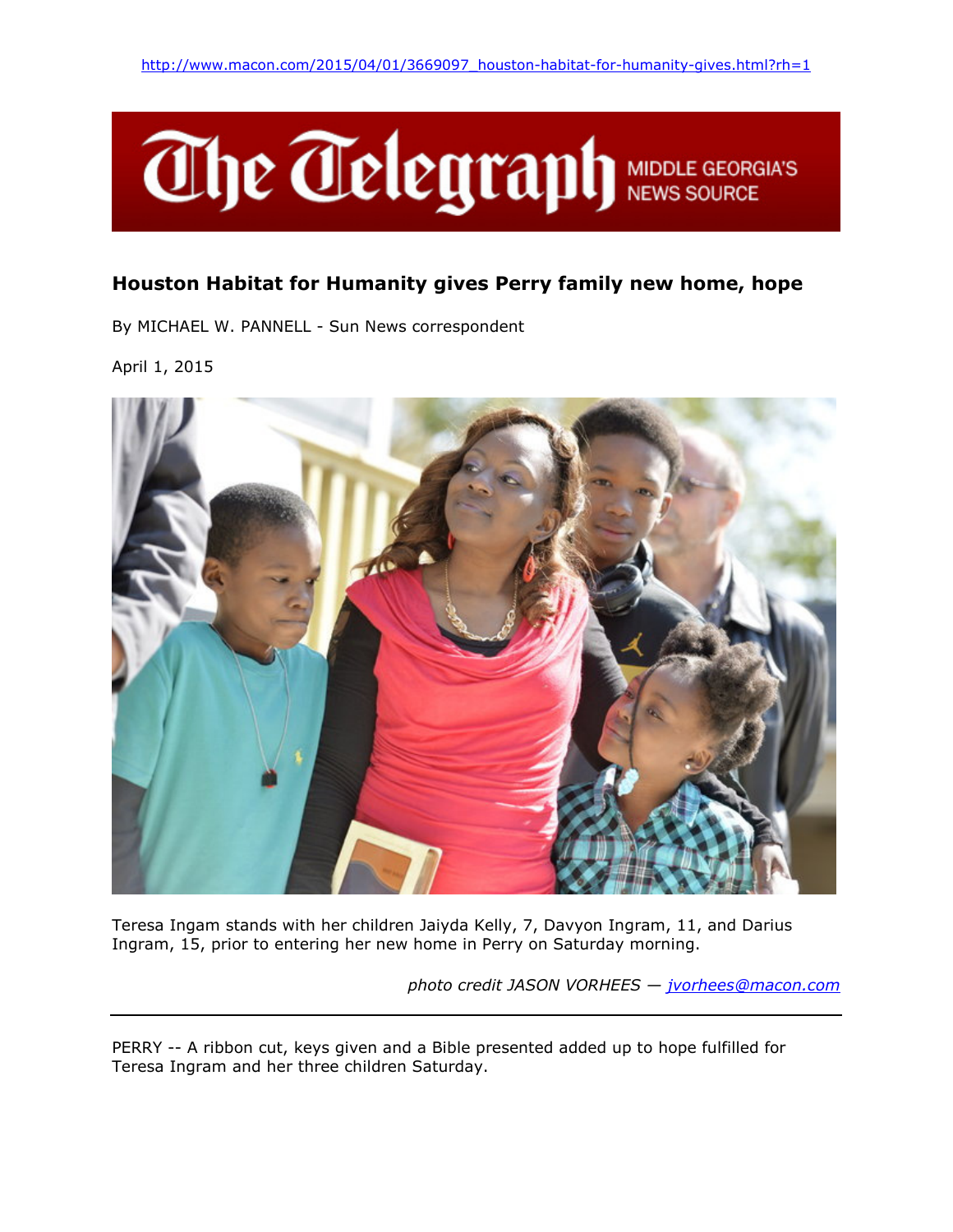

## Houston Habitat for Humanity gives Perry family new home, hope

By MICHAEL W. PANNELL - Sun News correspondent

April 1, 2015



Teresa Ingam stands with her children Jaiyda Kelly, 7, Davyon Ingram, 11, and Darius Ingram, 15, prior to entering her new home in Perry on Saturday morning.

photo credit JASON VORHEES — jvorhees@macon.com

PERRY -- A ribbon cut, keys given and a Bible presented added up to hope fulfilled for Teresa Ingram and her three children Saturday.